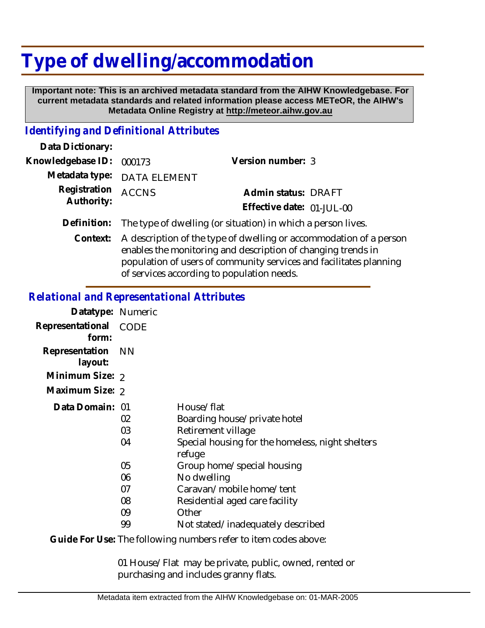# **Type of dwelling/accommodation**

 **Important note: This is an archived metadata standard from the AIHW Knowledgebase. For current metadata standards and related information please access METeOR, the AIHW's Metadata Online Registry at http://meteor.aihw.gov.au**

## *Identifying and Definitional Attributes*

| Data Dictionary:         |                                                                          |                           |  |
|--------------------------|--------------------------------------------------------------------------|---------------------------|--|
| Knowledgebase ID: 000173 |                                                                          | Version number: 3         |  |
|                          | Metadata type: DATA ELEMENT                                              |                           |  |
| Registration ACCNS       |                                                                          | Admin status: DRAFT       |  |
| Authority:               |                                                                          | Effective date: 01-JUL-00 |  |
|                          | Definition: The type of dwelling (or situation) in which a person lives. |                           |  |

Context: A description of the type of dwelling or accommodation of a person enables the monitoring and description of changing trends in population of users of community services and facilitates planning of services according to population needs.

### *Relational and Representational Attributes*

| Datatype: Numeric         |                |                                                                                                                                |
|---------------------------|----------------|--------------------------------------------------------------------------------------------------------------------------------|
| Representational<br>form: | <b>CODE</b>    |                                                                                                                                |
| Representation<br>layout: | – NN           |                                                                                                                                |
| Minimum Size: 2           |                |                                                                                                                                |
| Maximum Size: 2           |                |                                                                                                                                |
| Data Domain: 01           | 02<br>03<br>04 | House/flat<br>Boarding house/private hotel<br>Retirement village<br>Special housing for the homeless, night shelters<br>refuge |
|                           | 05             | Group home/special housing                                                                                                     |
|                           | 06             | No dwelling                                                                                                                    |
|                           | 07             | Caravan/mobile home/tent                                                                                                       |
|                           | 08             | Residential aged care facility                                                                                                 |
|                           | 09             | Other                                                                                                                          |
|                           | 99             | Not stated/inadequately described                                                                                              |
|                           |                |                                                                                                                                |

Guide For Use: The following numbers refer to item codes above:

01 House/Flat may be private, public, owned, rented or purchasing and includes granny flats.